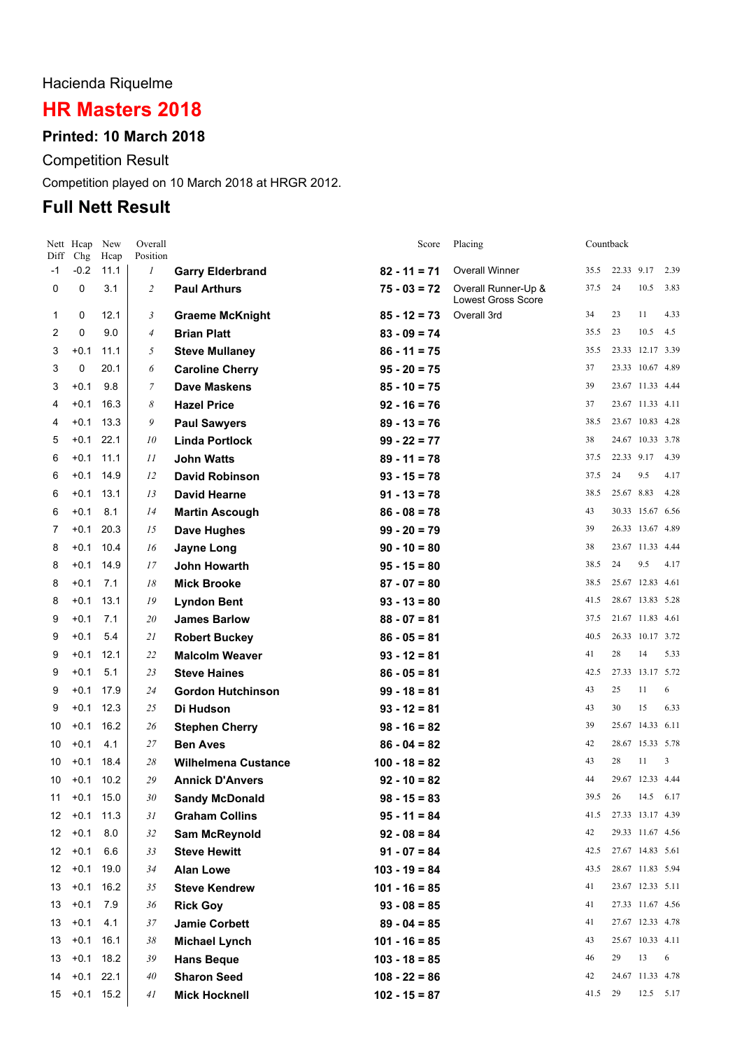# Hacienda Riquelme

# **HR Masters 2018**

#### **Printed: 10 March 2018**

Competition Result

Competition played on 10 March 2018 at HRGR 2012.

# **Full Nett Result**

| Diff             | Nett Heap<br>Chg | New<br>Hcap | Overall<br>Position |                            | Score           | Placing                                          |      | Countback  |                  |      |
|------------------|------------------|-------------|---------------------|----------------------------|-----------------|--------------------------------------------------|------|------------|------------------|------|
| $-1$             | $-0.2$           | 11.1        | $\boldsymbol{l}$    | <b>Garry Elderbrand</b>    | $82 - 11 = 71$  | <b>Overall Winner</b>                            | 35.5 | 22.33 9.17 |                  | 2.39 |
| 0                | 0                | 3.1         | $\overline{2}$      | <b>Paul Arthurs</b>        | $75 - 03 = 72$  | Overall Runner-Up &<br><b>Lowest Gross Score</b> | 37.5 | 24         | 10.5             | 3.83 |
| 1                | 0                | 12.1        | $\mathfrak{Z}$      | <b>Graeme McKnight</b>     | $85 - 12 = 73$  | Overall 3rd                                      | 34   | 23         | 11               | 4.33 |
| 2                | 0                | 9.0         | $\overline{4}$      | <b>Brian Platt</b>         | $83 - 09 = 74$  |                                                  | 35.5 | 23         | 10.5             | 4.5  |
| 3                | $+0.1$           | 11.1        | 5                   | <b>Steve Mullaney</b>      | $86 - 11 = 75$  |                                                  | 35.5 |            | 23.33 12.17 3.39 |      |
| 3                | 0                | 20.1        | 6                   | <b>Caroline Cherry</b>     | $95 - 20 = 75$  |                                                  | 37   |            | 23.33 10.67 4.89 |      |
| 3                | $+0.1$           | 9.8         | 7                   | <b>Dave Maskens</b>        | $85 - 10 = 75$  |                                                  | 39   |            | 23.67 11.33 4.44 |      |
| 4                | $+0.1$           | 16.3        | 8                   | <b>Hazel Price</b>         | $92 - 16 = 76$  |                                                  | 37   |            | 23.67 11.33 4.11 |      |
| 4                | $+0.1$           | 13.3        | 9                   | <b>Paul Sawyers</b>        | $89 - 13 = 76$  |                                                  | 38.5 |            | 23.67 10.83 4.28 |      |
| 5                | $+0.1$           | 22.1        | 10                  | <b>Linda Portlock</b>      | $99 - 22 = 77$  |                                                  | 38   |            | 24.67 10.33 3.78 |      |
| 6                | $+0.1$           | 11.1        | 11                  | <b>John Watts</b>          | $89 - 11 = 78$  |                                                  | 37.5 | 22.33 9.17 |                  | 4.39 |
| 6                | $+0.1$           | 14.9        | 12                  | <b>David Robinson</b>      | $93 - 15 = 78$  |                                                  | 37.5 | 24         | 9.5              | 4.17 |
| 6                | $+0.1$           | 13.1        | 13                  | <b>David Hearne</b>        | $91 - 13 = 78$  |                                                  | 38.5 | 25.67 8.83 |                  | 4.28 |
| 6                | $+0.1$           | 8.1         | 14                  | <b>Martin Ascough</b>      | $86 - 08 = 78$  |                                                  | 43   |            | 30.33 15.67 6.56 |      |
| 7                | $+0.1$           | 20.3        | 15                  | <b>Dave Hughes</b>         | $99 - 20 = 79$  |                                                  | 39   |            | 26.33 13.67 4.89 |      |
| 8                | $+0.1$           | 10.4        | 16                  | <b>Jayne Long</b>          | $90 - 10 = 80$  |                                                  | 38   |            | 23.67 11.33 4.44 |      |
| 8                | $+0.1$           | 14.9        | 17                  | John Howarth               | $95 - 15 = 80$  |                                                  | 38.5 | 24         | 9.5              | 4.17 |
| 8                | $+0.1$           | 7.1         | 18                  | <b>Mick Brooke</b>         | $87 - 07 = 80$  |                                                  | 38.5 |            | 25.67 12.83 4.61 |      |
| 8                | $+0.1$           | 13.1        | 19                  | <b>Lyndon Bent</b>         | $93 - 13 = 80$  |                                                  | 41.5 |            | 28.67 13.83 5.28 |      |
| 9                | $+0.1$           | 7.1         | 20                  | <b>James Barlow</b>        | $88 - 07 = 81$  |                                                  | 37.5 |            | 21.67 11.83 4.61 |      |
| 9                | $+0.1$           | 5.4         | 21                  | <b>Robert Buckey</b>       | $86 - 05 = 81$  |                                                  | 40.5 |            | 26.33 10.17 3.72 |      |
| 9                | $+0.1$           | 12.1        | 22                  | <b>Malcolm Weaver</b>      | $93 - 12 = 81$  |                                                  | 41   | 28         | 14               | 5.33 |
| 9                | $+0.1$           | 5.1         | 23                  | <b>Steve Haines</b>        | $86 - 05 = 81$  |                                                  | 42.5 |            | 27.33 13.17 5.72 |      |
| 9                | $+0.1$           | 17.9        | 24                  | <b>Gordon Hutchinson</b>   | $99 - 18 = 81$  |                                                  | 43   | 25         | 11               | 6    |
| 9                | $+0.1$           | 12.3        | 25                  | Di Hudson                  | $93 - 12 = 81$  |                                                  | 43   | 30         | 15               | 6.33 |
| 10               | $+0.1$           | 16.2        | 26                  | <b>Stephen Cherry</b>      | $98 - 16 = 82$  |                                                  | 39   |            | 25.67 14.33 6.11 |      |
| 10               | $+0.1$           | 4.1         | 27                  | <b>Ben Aves</b>            | $86 - 04 = 82$  |                                                  | 42   |            | 28.67 15.33 5.78 |      |
| 10               | $+0.1$           | 18.4        | 28                  | <b>Wilhelmena Custance</b> | $100 - 18 = 82$ |                                                  | 43   | 28         | 11               | 3    |
| 10               | $+0.1$           | 10.2        | 29                  | <b>Annick D'Anvers</b>     | $92 - 10 = 82$  |                                                  | 44   |            | 29.67 12.33 4.44 |      |
| 11               |                  | $+0.1$ 15.0 | 30                  | <b>Sandy McDonald</b>      | $98 - 15 = 83$  |                                                  | 39.5 | 26         | 14.5             | 6.17 |
| 12 <sup>12</sup> |                  | $+0.1$ 11.3 | 31                  | <b>Graham Collins</b>      | $95 - 11 = 84$  |                                                  | 41.5 |            | 27.33 13.17 4.39 |      |
| 12               | $+0.1$           | 8.0         | 32                  | <b>Sam McReynold</b>       | $92 - 08 = 84$  |                                                  | 42   |            | 29.33 11.67 4.56 |      |
| 12               | $+0.1$           | 6.6         | 33                  | <b>Steve Hewitt</b>        | $91 - 07 = 84$  |                                                  | 42.5 |            | 27.67 14.83 5.61 |      |
| 12               | $+0.1$           | 19.0        | 34                  | <b>Alan Lowe</b>           | $103 - 19 = 84$ |                                                  | 43.5 |            | 28.67 11.83 5.94 |      |
| 13               | $+0.1$           | 16.2        | 35                  | <b>Steve Kendrew</b>       | $101 - 16 = 85$ |                                                  | 41   |            | 23.67 12.33 5.11 |      |
| 13               | $+0.1$           | 7.9         | 36                  | <b>Rick Goy</b>            | $93 - 08 = 85$  |                                                  | 41   |            | 27.33 11.67 4.56 |      |
| 13               | $+0.1$           | 4.1         | 37                  | <b>Jamie Corbett</b>       | $89 - 04 = 85$  |                                                  | 41   |            | 27.67 12.33 4.78 |      |
| 13               | $+0.1$           | 16.1        | 38                  | <b>Michael Lynch</b>       | $101 - 16 = 85$ |                                                  | 43   |            | 25.67 10.33 4.11 |      |
| 13               | $+0.1$           | 18.2        | 39                  | <b>Hans Beque</b>          | $103 - 18 = 85$ |                                                  | 46   | 29         | 13               | 6    |
| 14               |                  | $+0.1$ 22.1 | 40                  | <b>Sharon Seed</b>         | $108 - 22 = 86$ |                                                  | 42   |            | 24.67 11.33 4.78 |      |
| 15               |                  | $+0.1$ 15.2 | 41                  | <b>Mick Hocknell</b>       | $102 - 15 = 87$ |                                                  | 41.5 | 29         | 12.5             | 5.17 |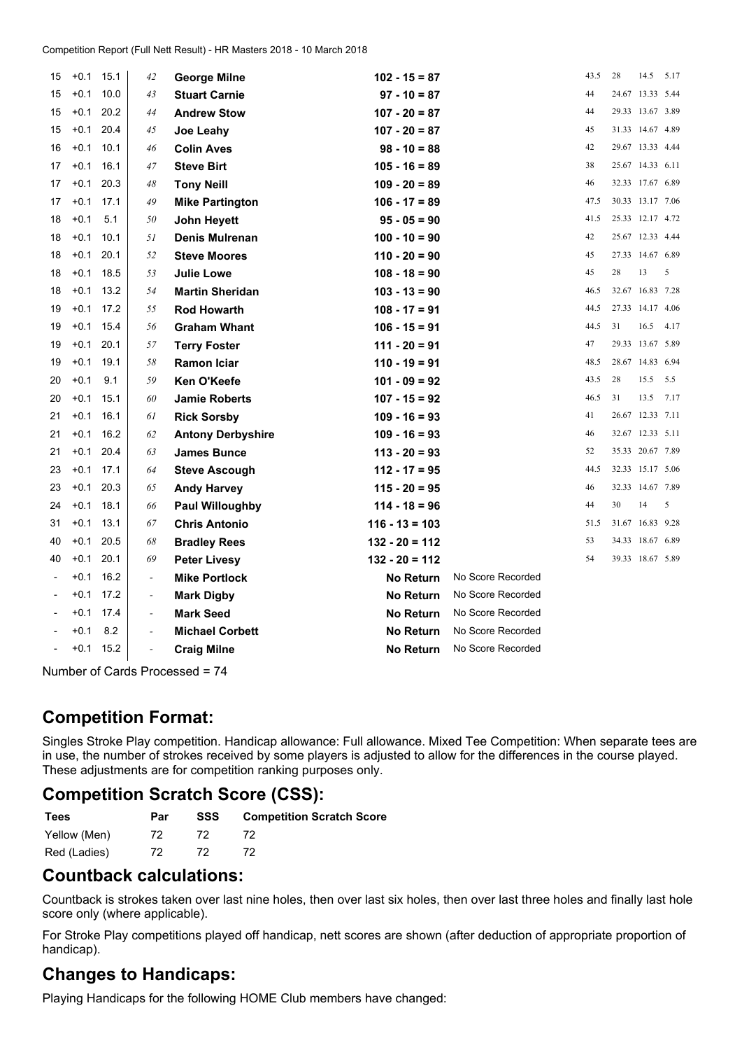| 15 | $+0.1$ | 15.1 | 42                       | <b>George Milne</b>      | $102 - 15 = 87$  |                   | 43.5 | 28 | 14.5             | 5.17 |
|----|--------|------|--------------------------|--------------------------|------------------|-------------------|------|----|------------------|------|
| 15 | $+0.1$ | 10.0 | 43                       | <b>Stuart Carnie</b>     | $97 - 10 = 87$   |                   | 44   |    | 24.67 13.33 5.44 |      |
| 15 | $+0.1$ | 20.2 | 44                       | <b>Andrew Stow</b>       | $107 - 20 = 87$  |                   | 44   |    | 29.33 13.67 3.89 |      |
| 15 | $+0.1$ | 20.4 | 45                       | Joe Leahy                | $107 - 20 = 87$  |                   | 45   |    | 31.33 14.67 4.89 |      |
| 16 | $+0.1$ | 10.1 | 46                       | <b>Colin Aves</b>        | $98 - 10 = 88$   |                   | 42   |    | 29.67 13.33 4.44 |      |
| 17 | $+0.1$ | 16.1 | 47                       | <b>Steve Birt</b>        | $105 - 16 = 89$  |                   | 38   |    | 25.67 14.33 6.11 |      |
| 17 | $+0.1$ | 20.3 | 48                       | <b>Tony Neill</b>        | $109 - 20 = 89$  |                   | 46   |    | 32.33 17.67 6.89 |      |
| 17 | $+0.1$ | 17.1 | 49                       | <b>Mike Partington</b>   | $106 - 17 = 89$  |                   | 47.5 |    | 30.33 13.17 7.06 |      |
| 18 | $+0.1$ | 5.1  | 50                       | John Heyett              | $95 - 05 = 90$   |                   | 41.5 |    | 25.33 12.17 4.72 |      |
| 18 | $+0.1$ | 10.1 | 51                       | <b>Denis Mulrenan</b>    | $100 - 10 = 90$  |                   | 42   |    | 25.67 12.33 4.44 |      |
| 18 | $+0.1$ | 20.1 | 52                       | <b>Steve Moores</b>      | $110 - 20 = 90$  |                   | 45   |    | 27.33 14.67 6.89 |      |
| 18 | $+0.1$ | 18.5 | 53                       | <b>Julie Lowe</b>        | $108 - 18 = 90$  |                   | 45   | 28 | 13               | 5    |
| 18 | $+0.1$ | 13.2 | 54                       | <b>Martin Sheridan</b>   | $103 - 13 = 90$  |                   | 46.5 |    | 32.67 16.83 7.28 |      |
| 19 | $+0.1$ | 17.2 | 55                       | <b>Rod Howarth</b>       | $108 - 17 = 91$  |                   | 44.5 |    | 27.33 14.17 4.06 |      |
| 19 | $+0.1$ | 15.4 | 56                       | <b>Graham Whant</b>      | $106 - 15 = 91$  |                   | 44.5 | 31 | 16.5             | 4.17 |
| 19 | $+0.1$ | 20.1 | 57                       | <b>Terry Foster</b>      | $111 - 20 = 91$  |                   | 47   |    | 29.33 13.67 5.89 |      |
| 19 | $+0.1$ | 19.1 | 58                       | <b>Ramon Iciar</b>       | $110 - 19 = 91$  |                   | 48.5 |    | 28.67 14.83 6.94 |      |
| 20 | $+0.1$ | 9.1  | 59                       | Ken O'Keefe              | $101 - 09 = 92$  |                   | 43.5 | 28 | 15.5             | 5.5  |
| 20 | $+0.1$ | 15.1 | 60                       | <b>Jamie Roberts</b>     | $107 - 15 = 92$  |                   | 46.5 | 31 | 13.5             | 7.17 |
| 21 | $+0.1$ | 16.1 | 61                       | <b>Rick Sorsby</b>       | $109 - 16 = 93$  |                   | 41   |    | 26.67 12.33 7.11 |      |
| 21 | $+0.1$ | 16.2 | 62                       | <b>Antony Derbyshire</b> | $109 - 16 = 93$  |                   | 46   |    | 32.67 12.33 5.11 |      |
| 21 | $+0.1$ | 20.4 | 63                       | <b>James Bunce</b>       | $113 - 20 = 93$  |                   | 52   |    | 35.33 20.67 7.89 |      |
| 23 | $+0.1$ | 17.1 | 64                       | <b>Steve Ascough</b>     | $112 - 17 = 95$  |                   | 44.5 |    | 32.33 15.17 5.06 |      |
| 23 | $+0.1$ | 20.3 | 65                       | <b>Andy Harvey</b>       | $115 - 20 = 95$  |                   | 46   |    | 32.33 14.67 7.89 |      |
| 24 | $+0.1$ | 18.1 | 66                       | <b>Paul Willoughby</b>   | $114 - 18 = 96$  |                   | 44   | 30 | 14               | 5    |
| 31 | $+0.1$ | 13.1 | 67                       | <b>Chris Antonio</b>     | $116 - 13 = 103$ |                   | 51.5 |    | 31.67 16.83 9.28 |      |
| 40 | $+0.1$ | 20.5 | 68                       | <b>Bradley Rees</b>      | $132 - 20 = 112$ |                   | 53   |    | 34.33 18.67 6.89 |      |
| 40 | $+0.1$ | 20.1 | 69                       | <b>Peter Livesy</b>      | $132 - 20 = 112$ |                   | 54   |    | 39.33 18.67 5.89 |      |
|    | $+0.1$ | 16.2 | $\overline{\phantom{a}}$ | <b>Mike Portlock</b>     | <b>No Return</b> | No Score Recorded |      |    |                  |      |
|    | $+0.1$ | 17.2 | $\overline{\phantom{a}}$ | <b>Mark Digby</b>        | <b>No Return</b> | No Score Recorded |      |    |                  |      |
|    | $+0.1$ | 17.4 | $\overline{\phantom{a}}$ | <b>Mark Seed</b>         | <b>No Return</b> | No Score Recorded |      |    |                  |      |
|    | $+0.1$ | 8.2  | $\overline{\phantom{a}}$ | <b>Michael Corbett</b>   | <b>No Return</b> | No Score Recorded |      |    |                  |      |
|    | $+0.1$ | 15.2 | $\overline{\phantom{a}}$ | <b>Craig Milne</b>       | <b>No Return</b> | No Score Recorded |      |    |                  |      |

Number of Cards Processed <sup>=</sup> 74

#### **Competition Format:**

Singles Stroke Play competition. Handicap allowance: Full allowance. Mixed Tee Competition: When separate tees are in use, the number of strokes received by some players is adjusted to allow for the differences in the course played. These adjustments are for competition ranking purposes only.

# **Competition Scratch Score (CSS):**

| <b>Tees</b>  | Par | SSS | <b>Competition Scratch Score</b> |
|--------------|-----|-----|----------------------------------|
| Yellow (Men) | 72. |     |                                  |
| Red (Ladies) | 72. |     |                                  |

#### **Countback calculations:**

Countback is strokes taken over last nine holes, then over last six holes, then over last three holes and finally last hole score only (where applicable).

For Stroke Play competitions played off handicap, nett scores are shown (after deduction of appropriate proportion of handicap).

# **Changes to Handicaps:**

Playing Handicaps for the following HOME Club members have changed: